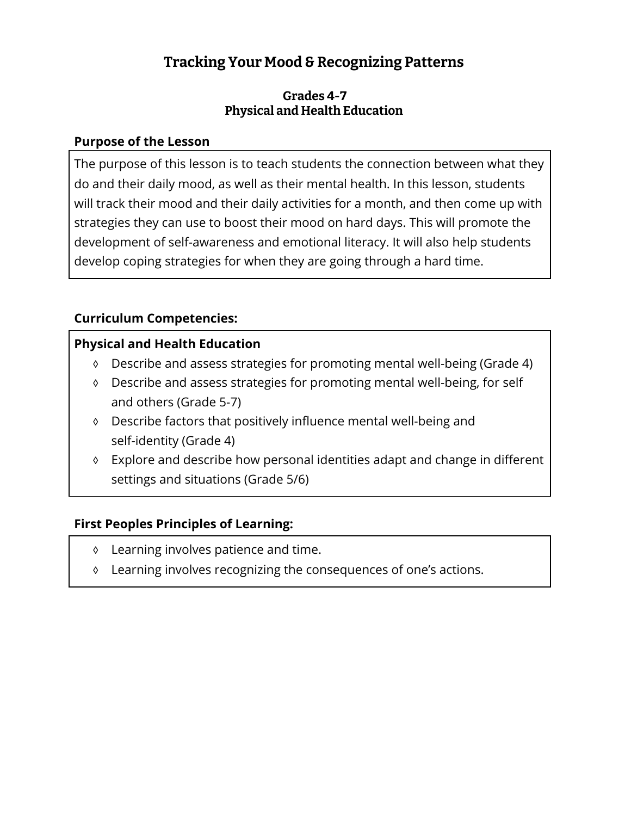# **Tracking Your Mood & Recognizing Patterns**

### **Grades 4-7 Physical and Health Education**

### **Purpose of the Lesson**

The purpose of this lesson is to teach students the connection between what they do and their daily mood, as well as their mental health. In this lesson, students will track their mood and their daily activities for a month, and then come up with strategies they can use to boost their mood on hard days. This will promote the development of self-awareness and emotional literacy. It will also help students develop coping strategies for when they are going through a hard time.

## **Curriculum Competencies:**

# **Physical and Health Education**

- ◊ Describe and assess strategies for promoting mental well-being (Grade 4)
- ◊ Describe and assess strategies for promoting mental well-being, for self and others (Grade 5-7)
- ◊ Describe factors that positively influence mental well-being and self-identity (Grade 4)
- ◊ Explore and describe how personal identities adapt and change in different settings and situations (Grade 5/6)

## **First Peoples Principles of Learning:**

- ◊ Learning involves patience and time.
- ◊ Learning involves recognizing the consequences of one's actions.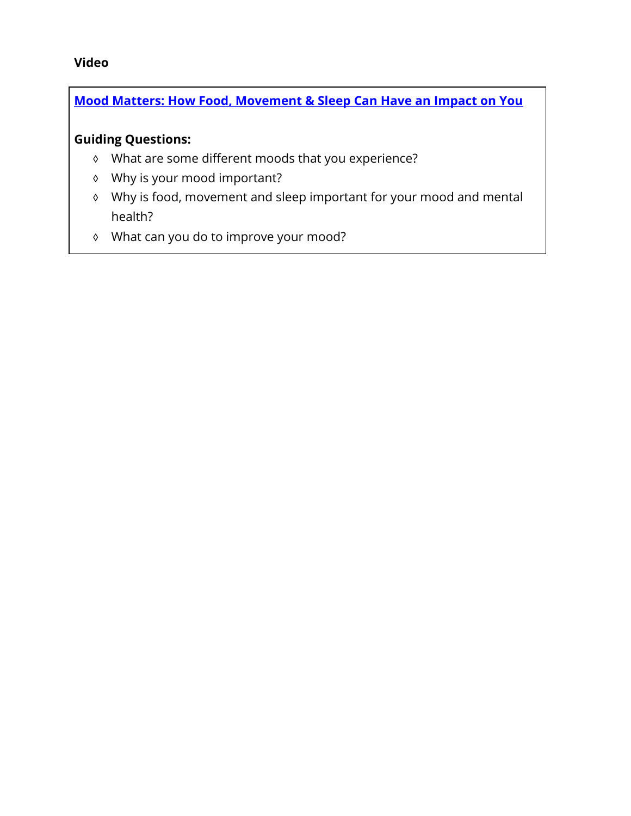### **Video**

# **[Mood Matters: How Food, Movement & Sleep Can Have an Impact on You](https://www.youtube.com/watch?v=qMnQFTy3t30&t=43s)**

### **Guiding Questions:**

- ◊ What are some different moods that you experience?
- ◊ Why is your mood important?
- ◊ Why is food, movement and sleep important for your mood and mental health?
- ◊ What can you do to improve your mood?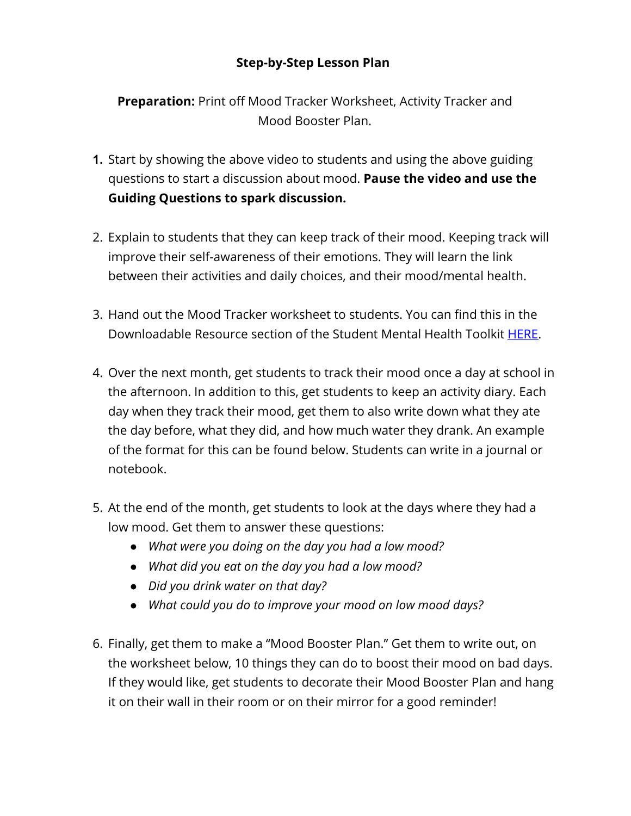## **Step-by-Step Lesson Plan**

**Preparation:** Print off Mood Tracker Worksheet, Activity Tracker and Mood Booster Plan.

- **1.** Start by showing the above video to students and using the above guiding questions to start a discussion about mood. **Pause the video and use the Guiding Questions to spark discussion.**
- 2. Explain to students that they can keep track of their mood. Keeping track will improve their self-awareness of their emotions. They will learn the link between their activities and daily choices, and their mood/mental health.
- 3. Hand out the Mood Tracker worksheet to students. You can find this in the Downloadable Resource section of the Student Mental Health Toolkit [HERE.](https://studentmentalhealthtoolkit.com/youth-corner/downloadable-resources/)
- 4. Over the next month, get students to track their mood once a day at school in the afternoon. In addition to this, get students to keep an activity diary. Each day when they track their mood, get them to also write down what they ate the day before, what they did, and how much water they drank. An example of the format for this can be found below. Students can write in a journal or notebook.
- 5. At the end of the month, get students to look at the days where they had a low mood. Get them to answer these questions:
	- *● What were you doing on the day you had a low mood?*
	- *● What did you eat on the day you had a low mood?*
	- *● Did you drink water on that day?*
	- *● What could you do to improve your mood on low mood days?*
- 6. Finally, get them to make a "Mood Booster Plan." Get them to write out, on the worksheet below, 10 things they can do to boost their mood on bad days. If they would like, get students to decorate their Mood Booster Plan and hang it on their wall in their room or on their mirror for a good reminder!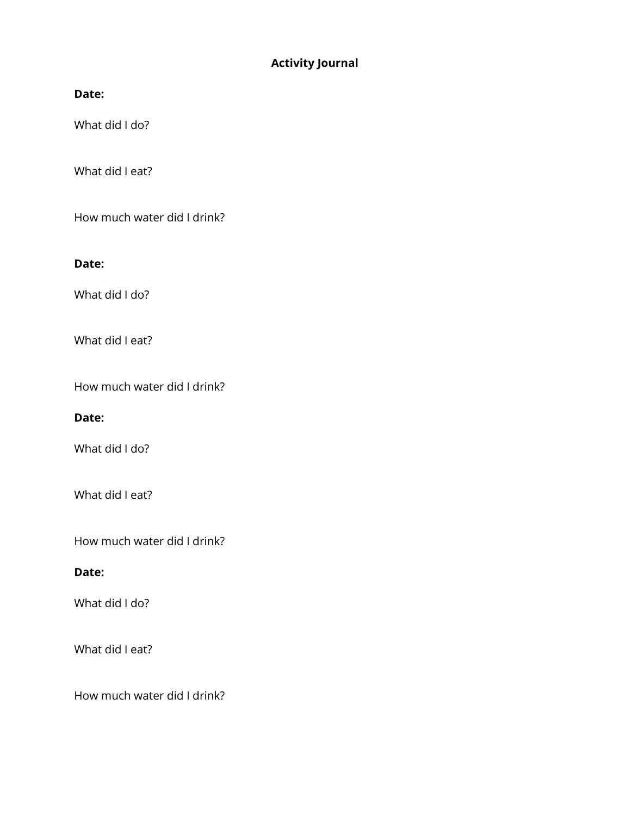#### **Activity Journal**

#### Date:

What did I do?

What did I eat?

How much water did I drink?

#### **Date:**

What did I do?

What did I eat?

How much water did I drink?

#### Date:

What did I do?

What did I eat?

How much water did I drink?

#### Date:

What did I do?

What did I eat?

How much water did I drink?